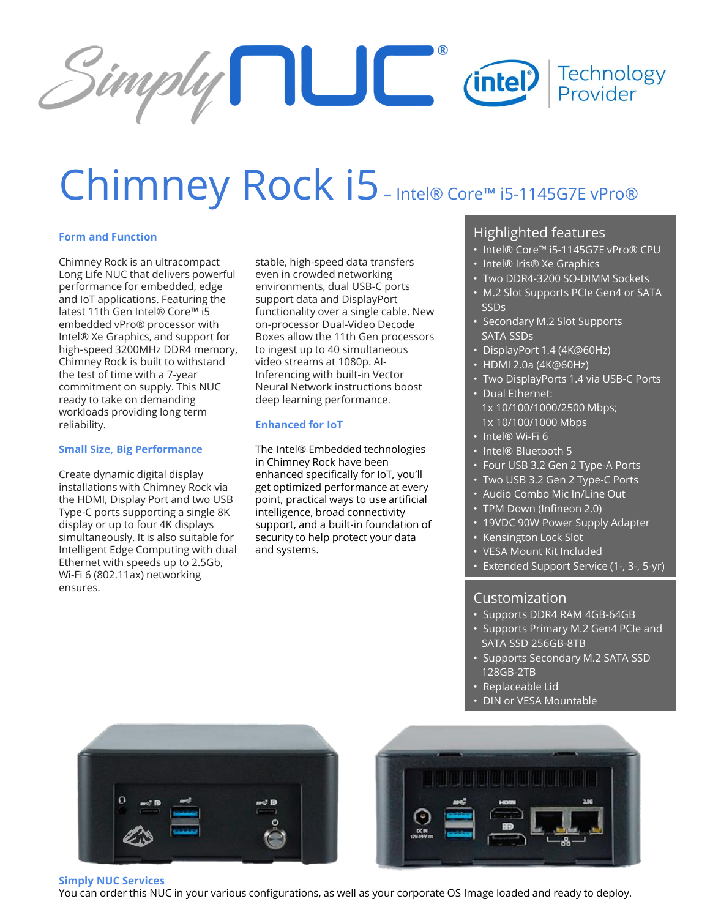

# Chimney Rock i5-Intel® Core™ i5-1145G7E vPro®

## **Form and Function**

Chimney Rock is an ultracompact Long Life NUC that delivers powerful performance for embedded, edge and IoT applications. Featuring the latest 11th Gen Intel® Core™ i5 embedded vPro® processor with Intel® Xe Graphics, and support for high-speed 3200MHz DDR4 memory, Chimney Rock is built to withstand the test of time with a 7-year commitment on supply. This NUC ready to take on demanding workloads providing long term reliability.

### **Small Size, Big Performance**

Create dynamic digital display installations with Chimney Rock via the HDMI, Display Port and two USB Type-C ports supporting a single 8K display or up to four 4K displays simultaneously. It is also suitable for Intelligent Edge Computing with dual Ethernet with speeds up to 2.5Gb, Wi-Fi 6 (802.11ax) networking ensures.

stable, high-speed data transfers even in crowded networking environments, dual USB-C ports support data and DisplayPort functionality over a single cable. New on-processor Dual-Video Decode Boxes allow the 11th Gen processors to ingest up to 40 simultaneous video streams at 1080p. AI-Inferencing with built-in Vector Neural Network instructions boost deep learning performance.

### **Enhanced for IoT**

The Intel® Embedded technologies in Chimney Rock have been enhanced specifically for IoT, you'll get optimized performance at every point, practical ways to use artificial intelligence, broad connectivity support, and a built-in foundation of security to help protect your data and systems.

## Highlighted features

- Intel® Core™ i5-1145G7E vPro® CPU
- Intel® Iris® Xe Graphics
- Two DDR4-3200 SO-DIMM Sockets
- M.2 Slot Supports PCIe Gen4 or SATA SSDs
- Secondary M.2 Slot Supports SATA SSDs
- DisplayPort 1.4 (4K@60Hz)
- HDMI 2.0a (4K@60Hz)
- Two DisplayPorts 1.4 via USB-C Ports
- Dual Ethernet: 1x 10/100/1000/2500 Mbps; 1x 10/100/1000 Mbps
- Intel® Wi-Fi 6
- Intel® Bluetooth 5
- Four USB 3.2 Gen 2 Type-A Ports
- Two USB 3.2 Gen 2 Type-C Ports
- Audio Combo Mic In/Line Out
- TPM Down (Infineon 2.0)
- 19VDC 90W Power Supply Adapter
- Kensington Lock Slot
- VESA Mount Kit Included
- Extended Support Service (1-, 3-, 5-yr)

# Customization

- Supports DDR4 RAM 4GB-64GB
- Supports Primary M.2 Gen4 PCIe and SATA SSD 256GB-8TB
- Supports Secondary M.2 SATA SSD 128GB-2TB
- Replaceable Lid
- DIN or VESA Mountable





#### **Simply NUC Services**

You can order this NUC in your various configurations, as well as your corporate OS Image loaded and ready to deploy.